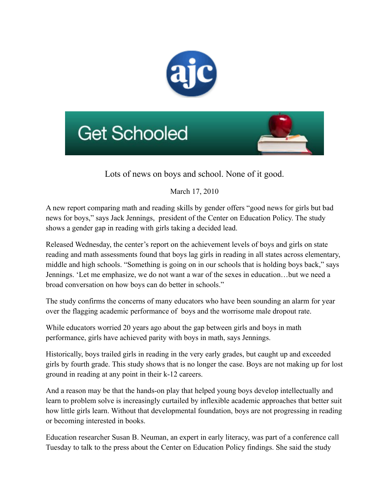



Lots of news on boys and school. None of it good.

March 17, 2010

A new report comparing math and reading skills by gender offers "good news for girls but bad news for boys," says Jack Jennings, president of the Center on Education Policy. The study shows a gender gap in reading with girls taking a decided lead.

Released Wednesday, the center's report on the achievement levels of boys and girls on state reading and math assessments found that boys lag girls in reading in all states across elementary, middle and high schools. "Something is going on in our schools that is holding boys back," says Jennings. 'Let me emphasize, we do not want a war of the sexes in education…but we need a broad conversation on how boys can do better in schools."

The study confirms the concerns of many educators who have been sounding an alarm for year over the flagging academic performance of boys and the worrisome male dropout rate.

While educators worried 20 years ago about the gap between girls and boys in math performance, girls have achieved parity with boys in math, says Jennings.

Historically, boys trailed girls in reading in the very early grades, but caught up and exceeded girls by fourth grade. This study shows that is no longer the case. Boys are not making up for lost ground in reading at any point in their k-12 careers.

And a reason may be that the hands-on play that helped young boys develop intellectually and learn to problem solve is increasingly curtailed by inflexible academic approaches that better suit how little girls learn. Without that developmental foundation, boys are not progressing in reading or becoming interested in books.

Education researcher Susan B. Neuman, an expert in early literacy, was part of a conference call Tuesday to talk to the press about the Center on Education Policy findings. She said the study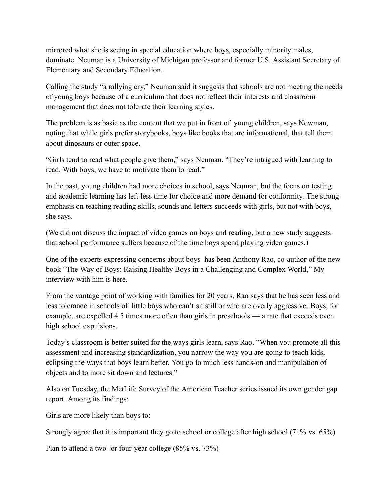mirrored what she is seeing in special education where boys, especially minority males, dominate. Neuman is a University of Michigan professor and former U.S. Assistant Secretary of Elementary and Secondary Education.

Calling the study "a rallying cry," Neuman said it suggests that schools are not meeting the needs of young boys because of a curriculum that does not reflect their interests and classroom management that does not tolerate their learning styles.

The problem is as basic as the content that we put in front of young children, says Newman, noting that while girls prefer storybooks, boys like books that are informational, that tell them about dinosaurs or outer space.

"Girls tend to read what people give them," says Neuman. "They're intrigued with learning to read. With boys, we have to motivate them to read."

In the past, young children had more choices in school, says Neuman, but the focus on testing and academic learning has left less time for choice and more demand for conformity. The strong emphasis on teaching reading skills, sounds and letters succeeds with girls, but not with boys, she says.

(We did not discuss the impact of video games on boys and reading, but a new study suggests that school performance suffers because of the time boys spend playing video games.)

One of the experts expressing concerns about boys has been Anthony Rao, co-author of the new book "The Way of Boys: Raising Healthy Boys in a Challenging and Complex World," My interview with him is here.

From the vantage point of working with families for 20 years, Rao says that he has seen less and less tolerance in schools of little boys who can't sit still or who are overly aggressive. Boys, for example, are expelled 4.5 times more often than girls in preschools — a rate that exceeds even high school expulsions.

Today's classroom is better suited for the ways girls learn, says Rao. "When you promote all this assessment and increasing standardization, you narrow the way you are going to teach kids, eclipsing the ways that boys learn better. You go to much less hands-on and manipulation of objects and to more sit down and lectures."

Also on Tuesday, the MetLife Survey of the American Teacher series issued its own gender gap report. Among its findings:

Girls are more likely than boys to:

Strongly agree that it is important they go to school or college after high school (71% vs. 65%)

Plan to attend a two- or four-year college (85% vs. 73%)